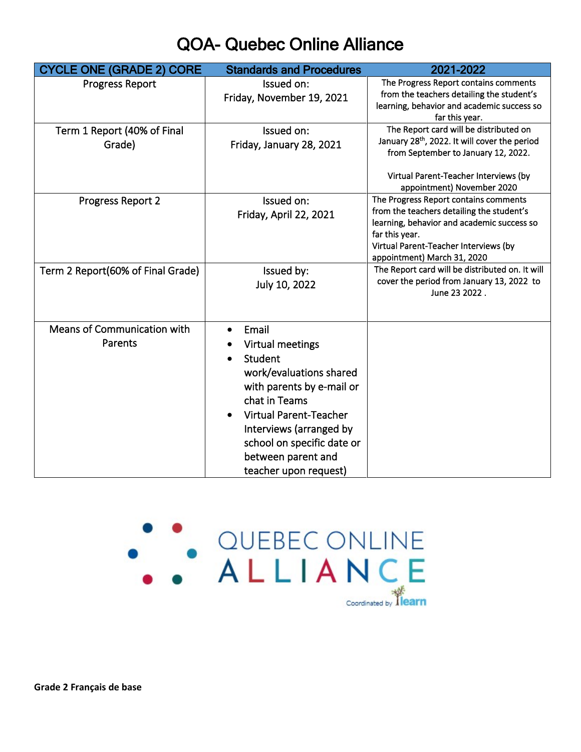## QOA- Quebec Online Alliance

| <b>CYCLE ONE (GRADE 2) CORE</b>   | <b>Standards and Procedures</b>            | 2021-2022                                                |
|-----------------------------------|--------------------------------------------|----------------------------------------------------------|
| <b>Progress Report</b>            | Issued on:                                 | The Progress Report contains comments                    |
|                                   | Friday, November 19, 2021                  | from the teachers detailing the student's                |
|                                   |                                            | learning, behavior and academic success so               |
|                                   |                                            | far this year.<br>The Report card will be distributed on |
| Term 1 Report (40% of Final       | Issued on:                                 | January 28th, 2022. It will cover the period             |
| Grade)                            | Friday, January 28, 2021                   | from September to January 12, 2022.                      |
|                                   |                                            |                                                          |
|                                   |                                            | Virtual Parent-Teacher Interviews (by                    |
|                                   |                                            | appointment) November 2020                               |
| Progress Report 2                 | Issued on:                                 | The Progress Report contains comments                    |
|                                   | Friday, April 22, 2021                     | from the teachers detailing the student's                |
|                                   |                                            | learning, behavior and academic success so               |
|                                   |                                            | far this year.<br>Virtual Parent-Teacher Interviews (by  |
|                                   |                                            | appointment) March 31, 2020                              |
| Term 2 Report(60% of Final Grade) | Issued by:                                 | The Report card will be distributed on. It will          |
|                                   | July 10, 2022                              | cover the period from January 13, 2022 to                |
|                                   |                                            | June 23 2022.                                            |
|                                   |                                            |                                                          |
|                                   |                                            |                                                          |
| Means of Communication with       | Email                                      |                                                          |
| Parents                           | Virtual meetings                           |                                                          |
|                                   | Student                                    |                                                          |
|                                   | work/evaluations shared                    |                                                          |
|                                   | with parents by e-mail or                  |                                                          |
|                                   | chat in Teams                              |                                                          |
|                                   | <b>Virtual Parent-Teacher</b><br>$\bullet$ |                                                          |
|                                   | Interviews (arranged by                    |                                                          |
|                                   |                                            |                                                          |
|                                   | school on specific date or                 |                                                          |
|                                   | between parent and                         |                                                          |
|                                   | teacher upon request)                      |                                                          |



**Grade 2 Français de base**